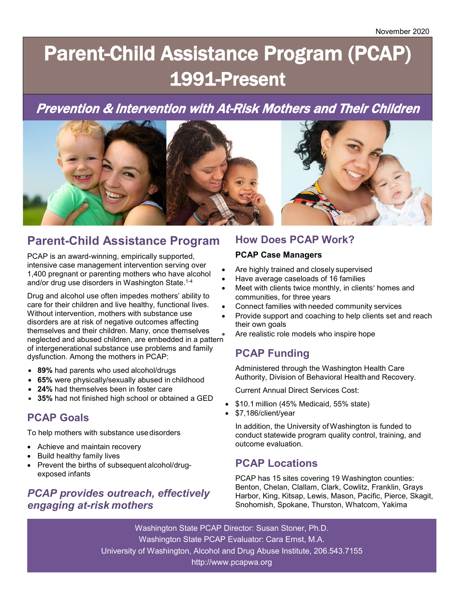# Parent-Child Assistance Program (PCAP) 1991-Present

# Prevention & Intervention with At-Risk Mothers and Their Children



# **Parent-Child Assistance Program**

PCAP is an award-winning, empirically supported, intensive case management intervention serving over 1,400 pregnant or parenting mothers who have alcohol and/or drug use disorders in Washington State.<sup>1-4</sup>

Drug and alcohol use often impedes mothers' ability to care for their children and live healthy, functional lives. Without intervention, mothers with substance use disorders are at risk of negative outcomes affecting themselves and their children. Many, once themselves neglected and abused children, are embedded in a pattern of intergenerational substance use problems and family dysfunction. Among the mothers in PCAP:

- **89%** had parents who used alcohol/drugs
- **65%** were physically/sexually abused in childhood
- **24%** had themselves been in foster care
- **35%** had not finished high school or obtained a GED

# **PCAP Goals**

To help mothers with substance usedisorders

- Achieve and maintain recovery
- Build healthy family lives
- Prevent the births of subsequent alcohol/drugexposed infants

# *PCAP provides outreach, effectively engaging at-risk mothers*

## **How Does PCAP Work?**

#### **PCAP Case Managers**

- Are highly trained and closely supervised
- Have average caseloads of 16 families
- Meet with clients twice monthly, in clients' homes and communities, for three years
- Connect families with needed community services
- Provide support and coaching to help clients set and reach their own goals
- Are realistic role models who inspire hope

# **PCAP Funding**

Administered through the Washington Health Care Authority, Division of Behavioral Healthand Recovery.

Current Annual Direct Services Cost:

- \$10.1 million (45% Medicaid, 55% state)
- \$7,186/client/year

In addition, the University of Washington is funded to conduct statewide program quality control, training, and outcome evaluation.

## **PCAP Locations**

PCAP has 15 sites covering 19 Washington counties: Benton, Chelan, Clallam, Clark, Cowlitz, Franklin, Grays Harbor, King, Kitsap, Lewis, Mason, Pacific, Pierce, Skagit, Snohomish, Spokane, Thurston, Whatcom, Yakima

Washington State PCAP Director: Susan Stoner, Ph.D. Washington State PCAP Evaluator: Cara Ernst, M.A. University of Washington, Alcohol and Drug Abuse Institute, 206.543.7155 http://www.pcapwa.org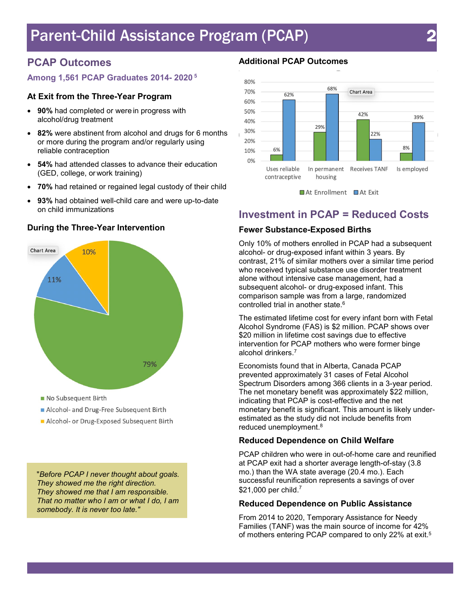# Parent-Child Assistance Program (PCAP) 2

# **PCAP Outcomes**

#### **Among 1,561 PCAP Graduates 2014- 2020 <sup>5</sup>**

#### **At Exit from the Three-Year Program**

- **90%** had completed or were in progress with alcohol/drug treatment
- **82%** were abstinent from alcohol and drugs for 6 months or more during the program and/or regularly using reliable contraception
- **54%** had attended classes to advance their education (GED, college, or work training)
- **70%** had retained or regained legal custody of their child
- **93%** had obtained well-child care and were up-to-date on child immunizations



#### **During the Three-Year Intervention**

No Subsequent Birth

- Alcohol- and Drug-Free Subsequent Birth
- Alcohol- or Drug-Exposed Subsequent Birth

"*Before PCAP I never thought about goals. They showed me the right direction. They showed me that I am responsible. That no matter who I am or what I do, I am somebody. It is never too late."*

#### **Additional PCAP Outcomes**



#### At Enrollment At Exit

## **Investment in PCAP = Reduced Costs**

#### **Fewer Substance-Exposed Births**

Only 10% of mothers enrolled in PCAP had a subsequent alcohol- or drug-exposed infant within 3 years. By contrast, 21% of similar mothers over a similar time period who received typical substance use disorder treatment alone without intensive case management, had a subsequent alcohol- or drug-exposed infant. This comparison sample was from a large, randomized controlled trial in another state. 6

The estimated lifetime cost for every infant born with Fetal Alcohol Syndrome (FAS) is \$2 million. PCAP shows over \$20 million in lifetime cost savings due to effective intervention for PCAP mothers who were former binge alcohol drinkers. 7

Economists found that in Alberta, Canada PCAP prevented approximately 31 cases of Fetal Alcohol Spectrum Disorders among 366 clients in a 3-year period. The net monetary benefit was approximately \$22 million, indicating that PCAP is cost-effective and the net monetary benefit is significant. This amount is likely underestimated as the study did not include benefits from reduced unemployment. 8

#### **Reduced Dependence on Child Welfare**

PCAP children who were in out-of-home care and reunified at PCAP exit had a shorter average length-of-stay (3.8 mo.) than the WA state average (20.4 mo.). Each successful reunification represents a savings of over  $$21,000$  per child. $^7$ 

#### **Reduced Dependence on Public Assistance**

From 2014 to 2020, Temporary Assistance for Needy Families (TANF) was the main source of income for 42% of mothers entering PCAP compared to only 22% at exit. 5